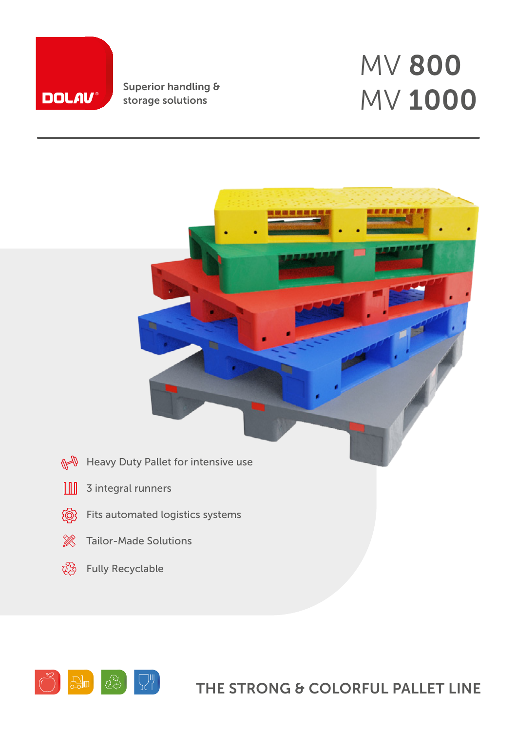

Superior handling &

# storage solutions  $MV 1000$ MV 800





## THE STRONG & COLORFUL PALLET LINE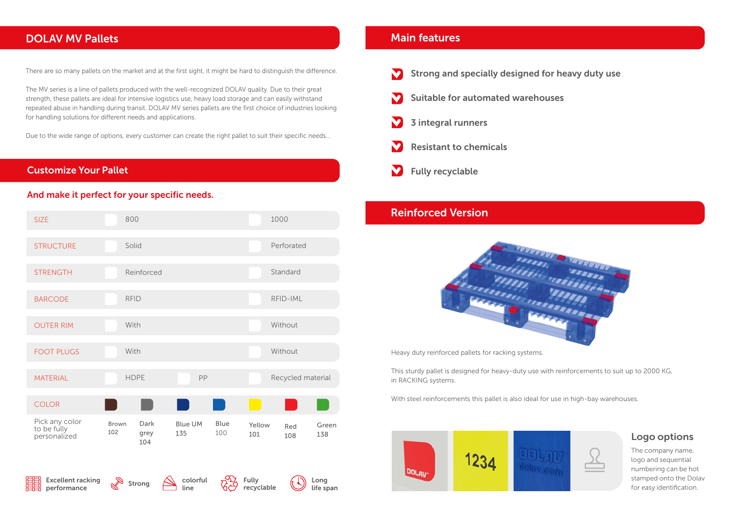#### DOLAV MV Pallets

There are so many pallets on the market and at the first sight, it might be hard to distinguish the difference.

The MV series is a line of pallets produced with the well-recognized DOLAV quality. Due to their great strength, these pallets are ideal for intensive logistics use, heavy load storage and can easily withstand repeated abuse in handling during transit. DOLAV MV series pallets are the first choice of industries looking for handling solutions for different needs and applications.

Due to the wide range of options, every customer can create the right pallet to suit their specific needs...



Heavy duty reinforced pallets for racking systems.

This sturdy pallet is designed for heavy-duty use with reinforcements to suit up to 2000 KG, in RACKING systems.

| <b>SIZE</b>                                   | 800                                               |                                             |               | 1000                       |  |  |  |
|-----------------------------------------------|---------------------------------------------------|---------------------------------------------|---------------|----------------------------|--|--|--|
| <b>STRUCTURE</b>                              | Solid                                             |                                             |               | Perforated                 |  |  |  |
| <b>STRENGTH</b>                               | Reinforced                                        |                                             |               | Standard                   |  |  |  |
| <b>BARCODE</b>                                | <b>RFID</b>                                       |                                             |               | RFID-IML                   |  |  |  |
| <b>OUTER RIM</b>                              | With                                              |                                             |               | Without                    |  |  |  |
| <b>FOOT PLUGS</b>                             | With                                              |                                             |               | Without                    |  |  |  |
| <b>MATERIAL</b>                               | <b>HDPE</b>                                       | PP                                          |               | Recycled material          |  |  |  |
| <b>COLOR</b>                                  |                                                   |                                             |               |                            |  |  |  |
| Pick any color<br>to be fully<br>personalized | <b>Dark</b><br><b>Brown</b><br>102<br>grey<br>104 | <b>Blue</b><br><b>Blue UM</b><br>100<br>135 | Yellow<br>101 | Green<br>Red<br>138<br>108 |  |  |  |



With steel reinforcements this pallet is also ideal for use in high-bay warehouses.





The company name, logo and sequential numbering can be hot stamped onto the Dolav for easy identification.

#### Logo options

#### Main features

#### Reinforced Version



#### Customize Your Pallet

#### And make it perfect for your specific needs.